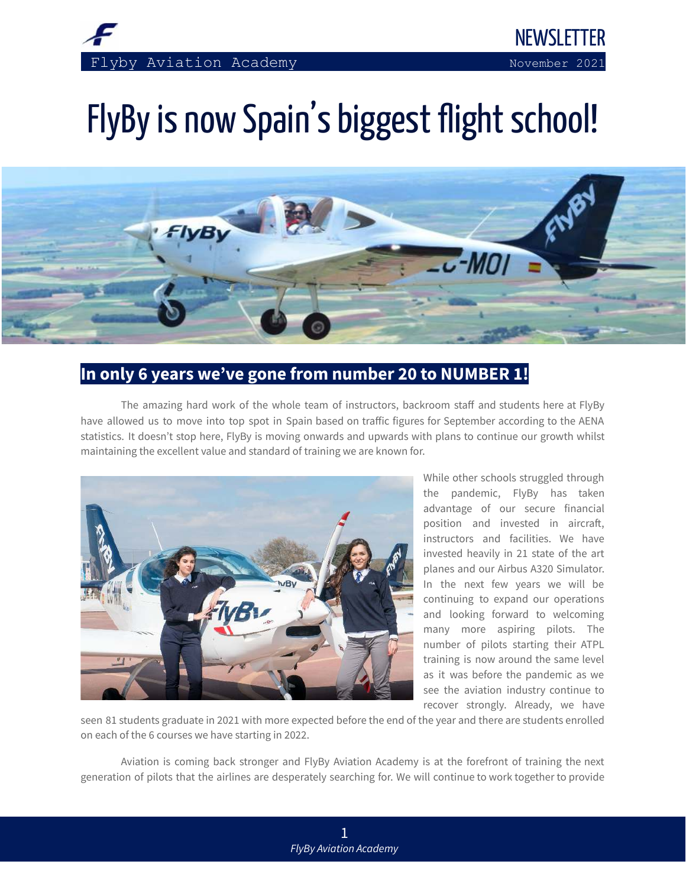

# FlyBy is now Spain's biggest flight school!



## **In only 6 years we've gone from number 20 to NUMBER 1!**

 The amazing hard work of the whole team of instructors, backroom staff and students here at FlyBy have allowed us to move into top spot in Spain based on traffic figures for September according to the AENA statistics. It doesn't stop here, FlyBy is moving onwards and upwards with plans to continue our growth whilst maintaining the excellent value and standard of training we are known for.



 While other schools struggled through the pandemic, FlyBy has taken advantage of our secure financial position and invested in aircraft, instructors and facilities. We have invested heavily in 21 state of the art planes and our Airbus A320 Simulator. In the next few years we will be continuing to expand our operations and looking forward to welcoming many more aspiring pilots. The number of pilots starting their ATPL training is now around the same level as it was before the pandemic as we see the aviation industry continue to recover strongly. Already, we have

 seen 81 students graduate in 2021 with more expected before the end of the year and there are students enrolled on each of the 6 courses we have starting in 2022.

 Aviation is coming back stronger and FlyBy Aviation Academy is at the forefront of training the next generation of pilots that the airlines are desperately searching for. We will continue to work together to provide